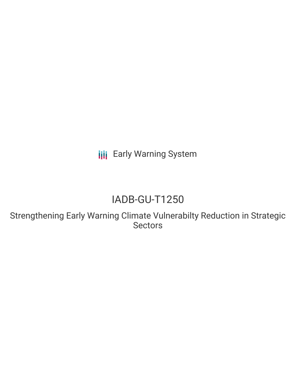**III** Early Warning System

# IADB-GU-T1250

Strengthening Early Warning Climate Vulnerabilty Reduction in Strategic **Sectors**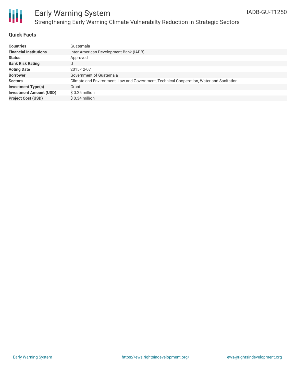

# Early Warning System Strengthening Early Warning Climate Vulnerabilty Reduction in Strategic Sectors

#### **Quick Facts**

| <b>Countries</b>               | Guatemala                                                                                |
|--------------------------------|------------------------------------------------------------------------------------------|
| <b>Financial Institutions</b>  | Inter-American Development Bank (IADB)                                                   |
| <b>Status</b>                  | Approved                                                                                 |
| <b>Bank Risk Rating</b>        |                                                                                          |
| <b>Voting Date</b>             | 2015-12-07                                                                               |
| <b>Borrower</b>                | Government of Guatemala                                                                  |
| <b>Sectors</b>                 | Climate and Environment, Law and Government, Technical Cooperation, Water and Sanitation |
| <b>Investment Type(s)</b>      | Grant                                                                                    |
| <b>Investment Amount (USD)</b> | $$0.25$ million                                                                          |
| <b>Project Cost (USD)</b>      | $$0.34$ million                                                                          |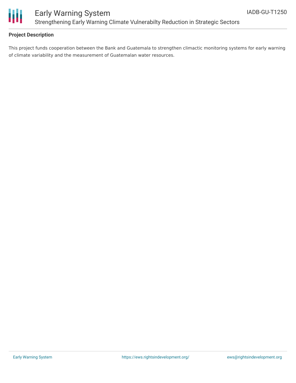

## **Project Description**

This project funds cooperation between the Bank and Guatemala to strengthen climactic monitoring systems for early warning of climate variability and the measurement of Guatemalan water resources.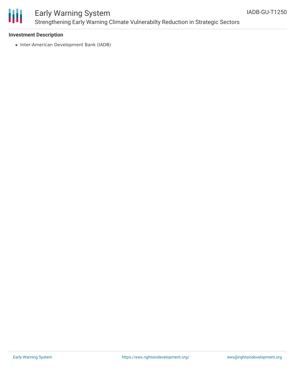

## Early Warning System Strengthening Early Warning Climate Vulnerabilty Reduction in Strategic Sectors

### **Investment Description**

• Inter-American Development Bank (IADB)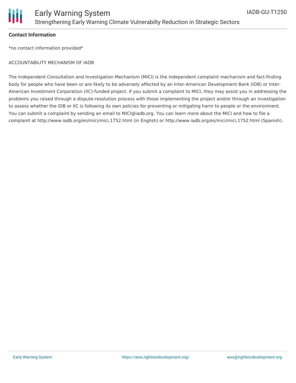

### **Contact Information**

\*no contact information provided\*

#### ACCOUNTABILITY MECHANISM OF IADB

The Independent Consultation and Investigation Mechanism (MICI) is the independent complaint mechanism and fact-finding body for people who have been or are likely to be adversely affected by an Inter-American Development Bank (IDB) or Inter-American Investment Corporation (IIC)-funded project. If you submit a complaint to MICI, they may assist you in addressing the problems you raised through a dispute-resolution process with those implementing the project and/or through an investigation to assess whether the IDB or IIC is following its own policies for preventing or mitigating harm to people or the environment. You can submit a complaint by sending an email to MICI@iadb.org. You can learn more about the MICI and how to file a complaint at http://www.iadb.org/en/mici/mici,1752.html (in English) or http://www.iadb.org/es/mici/mici,1752.html (Spanish).